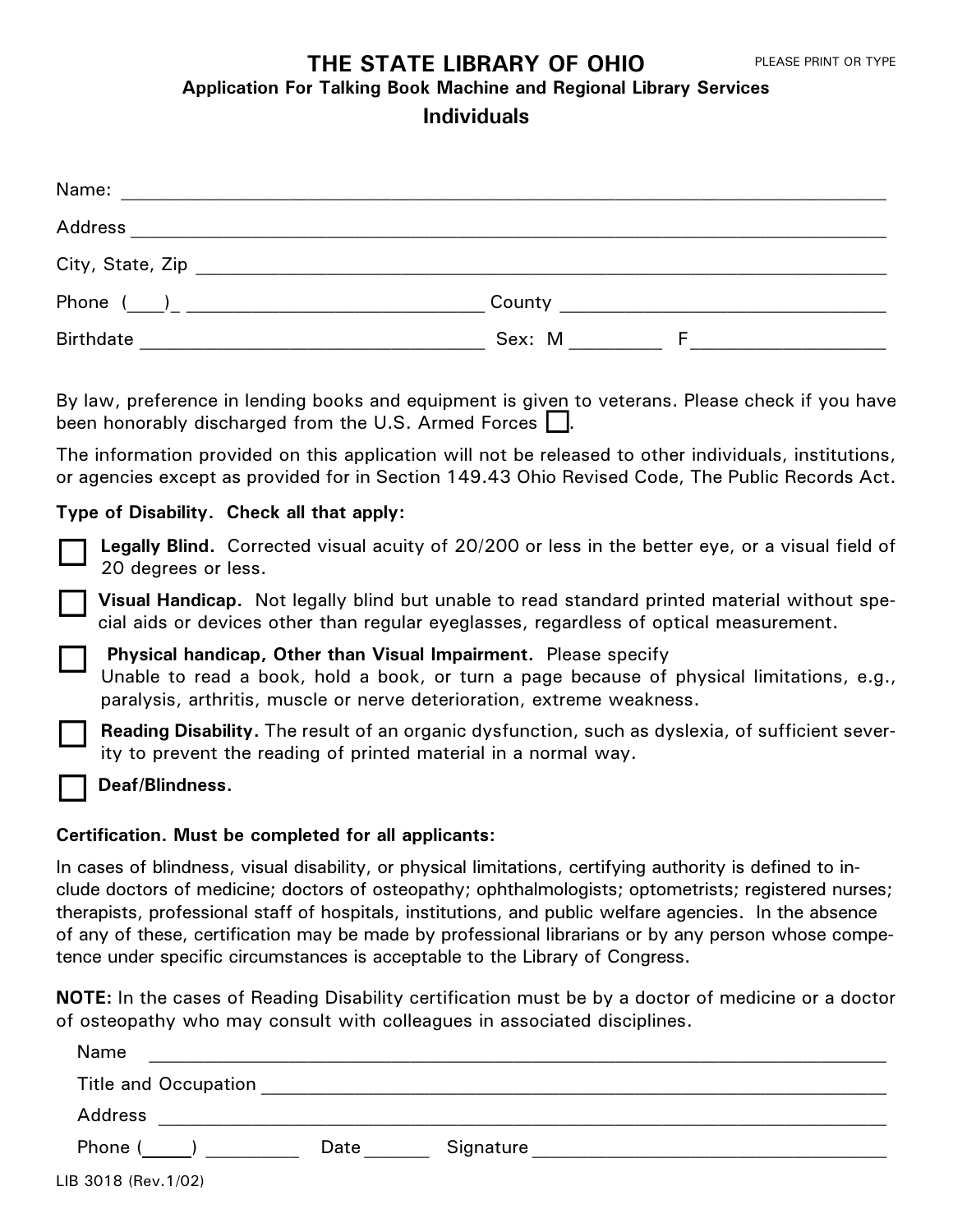# **THE STATE LIBRARY OF OHIO**

**Application For Talking Book Machine and Regional Library Services**

# **Individuals**

| Name:            |             |  |
|------------------|-------------|--|
| Address          |             |  |
| City, State, Zip |             |  |
| Phone            | County      |  |
| <b>Birthdate</b> | Sex: M<br>F |  |

By law, preference in lending books and equipment is given to veterans. Please check if you have by law, preference in lending books and equipment is given<br>been honorably discharged from the U.S. Armed Forces  $\Box$ .

The information provided on this application will not be released to other individuals, institutions, or agencies except as provided for in Section 149.43 Ohio Revised Code, The Public Records Act.

# **Type of Disability. Check all that apply:**

**Legally Blind.** Corrected visual acuity of 20/200 or less in the better eye, or a visual field of 20 degrees or less.

**Visual Handicap.** Not legally blind but unable to read standard printed material without special aids or devices other than regular eyeglasses, regardless of optical measurement.

**Physical handicap, Other than Visual Impairment.** Please specify Unable to read a book, hold a book, or turn a page because of physical limitations, e.g., paralysis, arthritis, muscle or nerve deterioration, extreme weakness.

**Reading Disability.** The result of an organic dysfunction, such as dyslexia, of sufficient severity to prevent the reading of printed material in a normal way.

**Deaf/Blindness.**

 $\Box$ 

 $\Box$ 

 $\Box$ 

 $\Box$ 

 $\Box$ 

#### **Certification. Must be completed for all applicants:**

In cases of blindness, visual disability, or physical limitations, certifying authority is defined to include doctors of medicine; doctors of osteopathy; ophthalmologists; optometrists; registered nurses; therapists, professional staff of hospitals, institutions, and public welfare agencies. In the absence of any of these, certification may be made by professional librarians or by any person whose competence under specific circumstances is acceptable to the Library of Congress.

**NOTE:** In the cases of Reading Disability certification must be by a doctor of medicine or a doctor of osteopathy who may consult with colleagues in associated disciplines.

| Name                        |      |           |
|-----------------------------|------|-----------|
| <b>Title and Occupation</b> |      |           |
| Address                     |      |           |
| Phone (                     | Date | Signature |
| B 3018 (Rev. 1/02)          |      |           |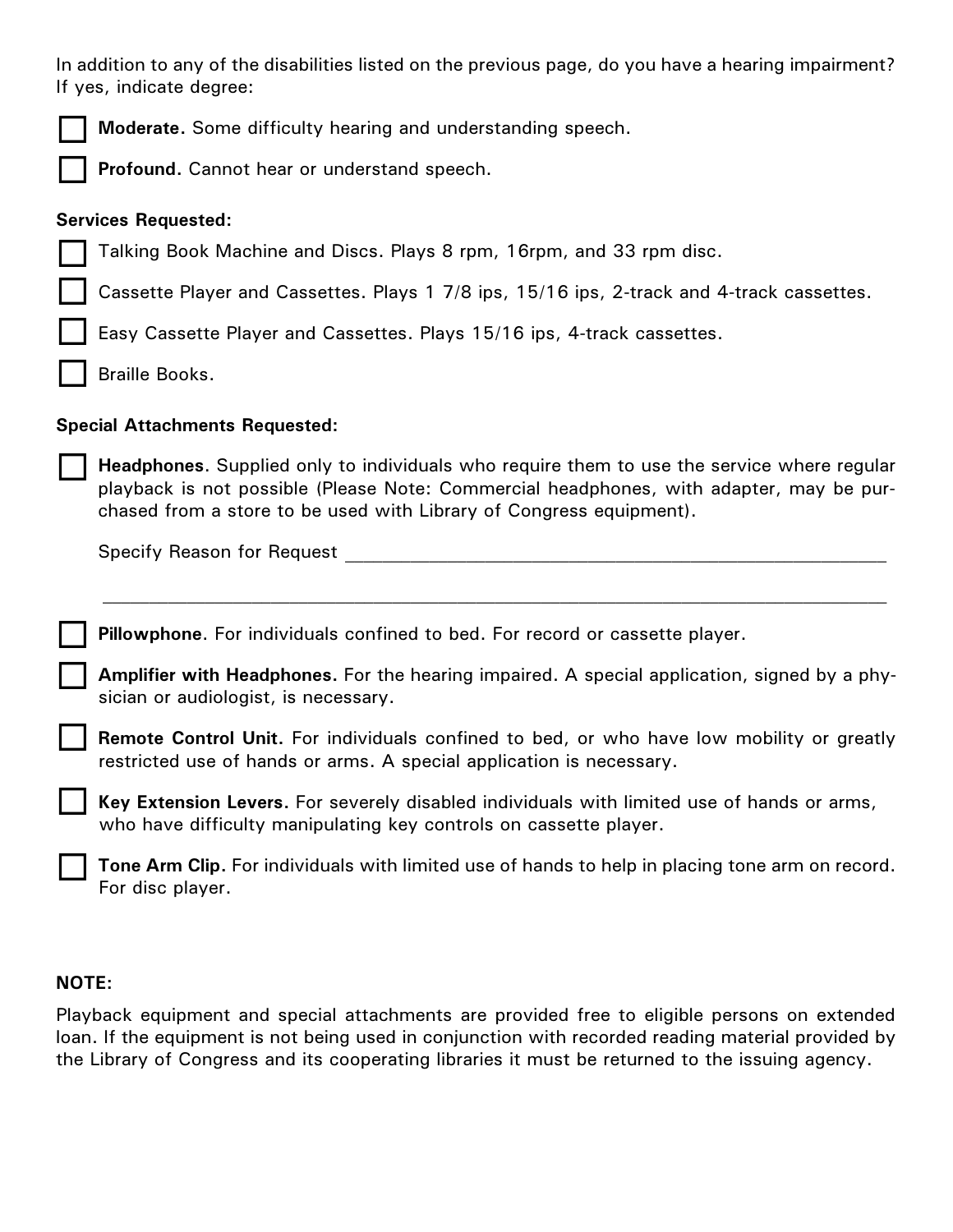In addition to any of the disabilities listed on the previous page, do you have a hearing impairment? If yes, indicate degree:

 $\Box$ 

 $\Box$ 

 $\Box$ 

 $\Box$ 

**Profound.** Cannot hear or understand speech.

### **Services Requested:**

|  | Talking Book Machine and Discs. Plays 8 rpm, 16rpm, and 33 rpm disc. |  |  |
|--|----------------------------------------------------------------------|--|--|
|  |                                                                      |  |  |

Cassette Player and Cassettes. Plays 1 7/8 ips, 15/16 ips, 2-track and 4-track cassettes. ¨

Easy Cassette Player and Cassettes. Plays 15/16 ips, 4-track cassettes.  $\Box$ 

Braille Books.  $\Box$ 

# **Special Attachments Requested:**

**Headphones**. Supplied only to individuals who require them to use the service where regular playback is not possible (Please Note: Commercial headphones, with adapter, may be purchased from a store to be used with Library of Congress equipment).

Specify Reason for Request **Example 20** and the set of the set of the set of the set of the set of the set of the set of the set of the set of the set of the set of the set of the set of the set of the set of the set of th

**Pillowphone**. For individuals confined to bed. For record or cassette player.  $\Box$ 

**Amplifier with Headphones.** For the hearing impaired. A special application, signed by a physician or audiologist, is necessary.

**Remote Control Unit.** For individuals confined to bed, or who have low mobility or greatly restricted use of hands or arms. A special application is necessary.  $\Box$ 

**Key Extension Levers.** For severely disabled individuals with limited use of hands or arms, who have difficulty manipulating key controls on cassette player.

**Tone Arm Clip.** For individuals with limited use of hands to help in placing tone arm on record. For disc player.

#### **NOTE:**

Playback equipment and special attachments are provided free to eligible persons on extended loan. If the equipment is not being used in conjunction with recorded reading material provided by the Library of Congress and its cooperating libraries it must be returned to the issuing agency.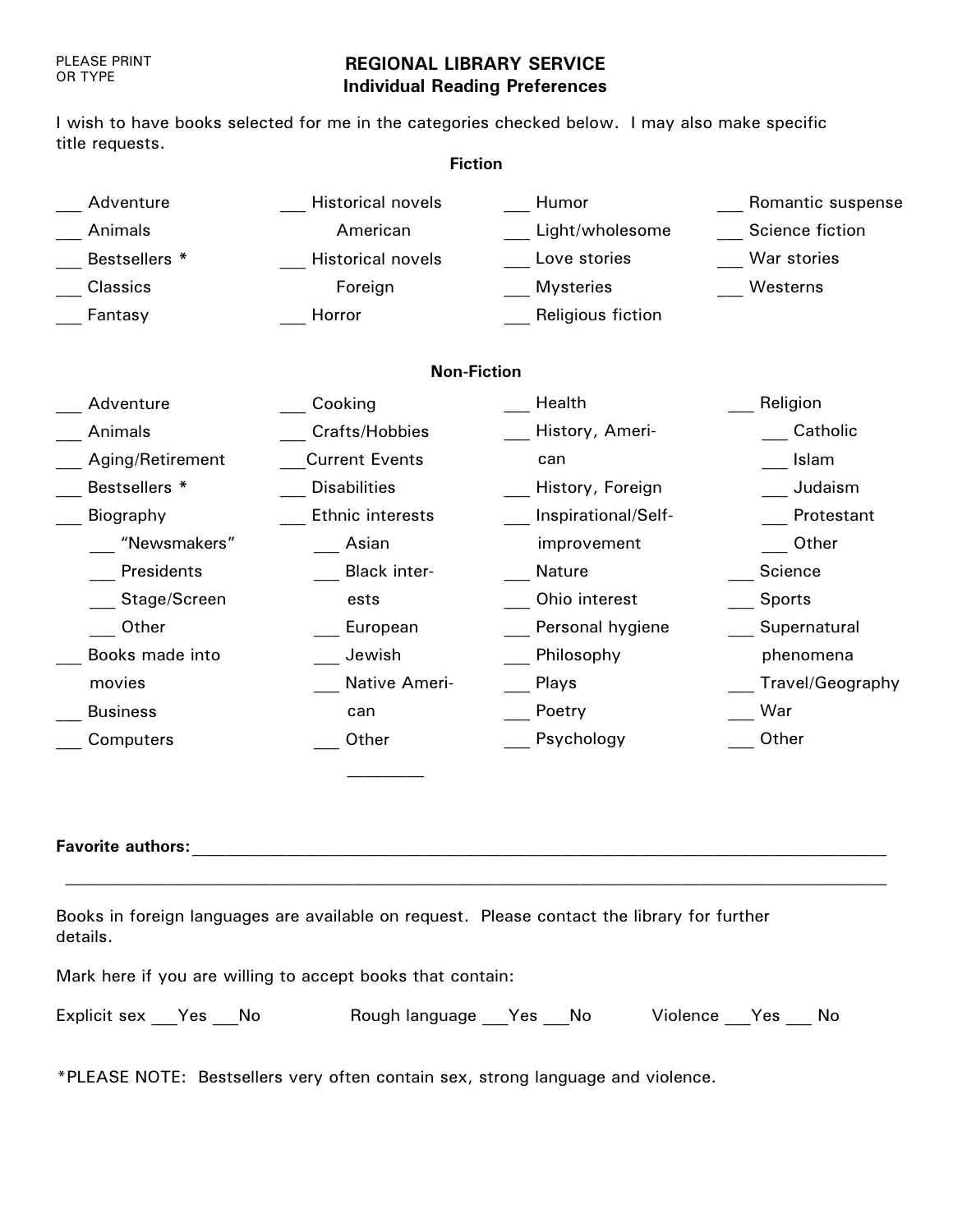#### PLEASE PRINT OR TYPE

# **REGIONAL LIBRARY SERVICE Individual Reading Preferences**

I wish to have books selected for me in the categories checked below. I may also make specific title requests.

| <b>Fiction</b>   |                          |                     |                   |  |  |
|------------------|--------------------------|---------------------|-------------------|--|--|
| Adventure        | <b>Historical novels</b> | Humor               | Romantic suspense |  |  |
| Animals          | American                 | Light/wholesome     | Science fiction   |  |  |
| Bestsellers *    | <b>Historical novels</b> | Love stories        | War stories       |  |  |
| Classics         | Foreign                  | <b>Mysteries</b>    | Westerns          |  |  |
| Fantasy          | Horror                   | Religious fiction   |                   |  |  |
|                  | <b>Non-Fiction</b>       |                     |                   |  |  |
| Adventure        | Cooking                  | Health              | Religion          |  |  |
| Animals          | Crafts/Hobbies           | History, Ameri-     | Catholic          |  |  |
| Aging/Retirement | <b>Current Events</b>    | can                 | Islam             |  |  |
| Bestsellers *    | <b>Disabilities</b>      | History, Foreign    | Judaism           |  |  |
| Biography        | Ethnic interests         | Inspirational/Self- | Protestant        |  |  |
| "Newsmakers"     | Asian                    | improvement         | Other             |  |  |
| Presidents       | <b>Black inter-</b>      | <b>Nature</b>       | Science           |  |  |
| Stage/Screen     | ests                     | Ohio interest       | <b>Sports</b>     |  |  |
| Other            | European                 | Personal hygiene    | Supernatural      |  |  |
| Books made into  | Jewish                   | Philosophy          | phenomena         |  |  |
| movies           | Native Ameri-            | Plays               | Travel/Geography  |  |  |
| <b>Business</b>  | can                      | Poetry              | War               |  |  |
| Computers        | Other                    | Psychology          | Other             |  |  |

#### **Favorite authors: with an all the set of the set of the set of the set of the set of the set of the set of the set of the set of the set of the set of the set of the set of the set of the set of the set of the set of th**

Books in foreign languages are available on request. Please contact the library for further details.

Mark here if you are willing to accept books that contain:

| Explicit sex Yes No |  |  | Rough language __Yes __No |  |  | Violence Yes No |  |  |
|---------------------|--|--|---------------------------|--|--|-----------------|--|--|
|---------------------|--|--|---------------------------|--|--|-----------------|--|--|

\*PLEASE NOTE: Bestsellers very often contain sex, strong language and violence.